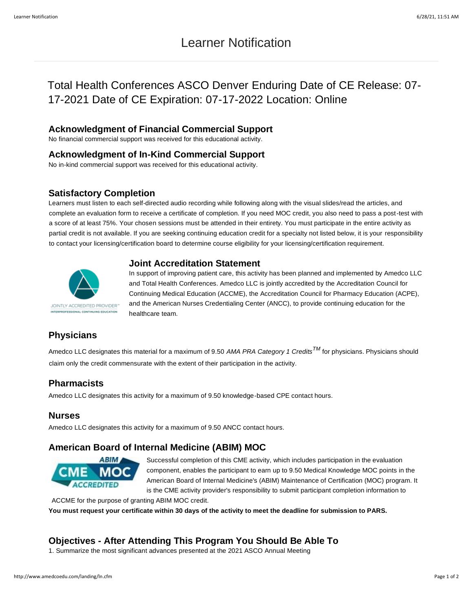# Learner Notification

# Total Health Conferences ASCO Denver Enduring Date of CE Release: 07- 17-2021 Date of CE Expiration: 07-17-2022 Location: Online

## **Acknowledgment of Financial Commercial Support**

No financial commercial support was received for this educational activity.

#### **Acknowledgment of In-Kind Commercial Support**

No in-kind commercial support was received for this educational activity.

#### **Satisfactory Completion**

Learners must listen to each self-directed audio recording while following along with the visual slides/read the articles, and complete an evaluation form to receive a certificate of completion. If you need MOC credit, you also need to pass a post-test with a score of at least 75%. Your chosen sessions must be attended in their entirety. You must participate in the entire activity as partial credit is not available. If you are seeking continuing education credit for a specialty not listed below, it is your responsibility to contact your licensing/certification board to determine course eligibility for your licensing/certification requirement.

## **Joint Accreditation Statement**



In support of improving patient care, this activity has been planned and implemented by Amedco LLC and Total Health Conferences. Amedco LLC is jointly accredited by the Accreditation Council for Continuing Medical Education (ACCME), the Accreditation Council for Pharmacy Education (ACPE), and the American Nurses Credentialing Center (ANCC), to provide continuing education for the healthcare team.

# **Physicians**

Amedco LLC designates this material for a maximum of 9.50 *AMA PRA Category 1 CreditsTM* for physicians. Physicians should claim only the credit commensurate with the extent of their participation in the activity.

### **Pharmacists**

Amedco LLC designates this activity for a maximum of 9.50 knowledge-based CPE contact hours.

#### **Nurses**

Amedco LLC designates this activity for a maximum of 9.50 ANCC contact hours.

## **American Board of Internal Medicine (ABIM) MOC**



Successful completion of this CME activity, which includes participation in the evaluation component, enables the participant to earn up to 9.50 Medical Knowledge MOC points in the American Board of Internal Medicine's (ABIM) Maintenance of Certification (MOC) program. It is the CME activity provider's responsibility to submit participant completion information to

ACCME for the purpose of granting ABIM MOC credit. **You must request your certificate within 30 days of the activity to meet the deadline for submission to PARS.**

# **Objectives - After Attending This Program You Should Be Able To**

1. Summarize the most significant advances presented at the 2021 ASCO Annual Meeting